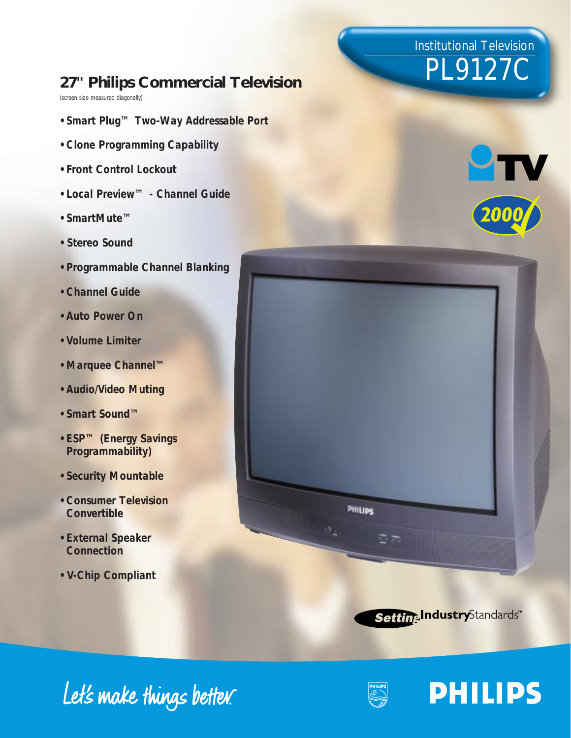## Institutional Television PL9127C

### **27" Philips Commercial Television**

*(screen size measured diagonally)*

- *Smart Plug™ Two-Way Addressable Port*
- *Clone Programming Capability*
- *Front Control Lockout*
- *Local Preview™ Channel Guide*
- *SmartMute™*
- *Stereo Sound*
- *Programmable Channel Blanking*
- *Channel Guide*
- *Auto Power On*
- *Volume Limiter*
- *Marquee Channel™*
- *Audio/Video Muting*
- *Smart Sound™*
- *ESP™ (Energy Savings Programmability)*
- *Security Mountable*
- *Consumer Television Convertible*
- *External Speaker Connection*
- *V-Chip Compliant*







**PHILIPS** 

## Let's make things better.